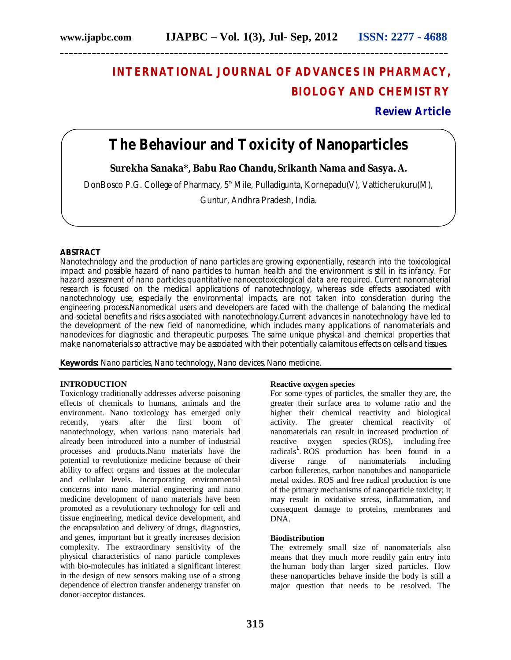# **INTERNATIONAL JOURNAL OF ADVANCES IN PHARMACY, BIOLOGY AND CHEMISTRY**

**Review Article**

## **The Behaviour and Toxicity of Nanoparticles**

**\_\_\_\_\_\_\_\_\_\_\_\_\_\_\_\_\_\_\_\_\_\_\_\_\_\_\_\_\_\_\_\_\_\_\_\_\_\_\_\_\_\_\_\_\_\_\_\_\_\_\_\_\_\_\_\_\_\_\_\_\_\_\_\_\_\_\_\_\_\_\_\_\_\_\_\_\_\_\_\_\_\_\_\_\_**

**Surekha Sanaka\*, Babu Rao Chandu, Srikanth Nama and Sasya. A.**

DonBosco P.G. College of Pharmacy, 5<sup>th</sup> Mile, Pulladigunta, Kornepadu(V), Vatticherukuru(M),

Guntur, Andhra Pradesh, India.

## **ABSTRACT**

Nanotechnology and the production of nano particles are growing exponentially, research into the toxicological impact and possible hazard of nano particles to human health and the environment is still in its infancy. For hazard assessment of nano particles quantitative nanoecotoxicological data are required. Current nanomaterial research is focused on the medical applications of nanotechnology, whereas side effects associated with nanotechnology use, especially the environmental impacts, are not taken into consideration during the engineering process.Nanomedical users and developers are faced with the challenge of balancing the medical and societal benefits and risks associated with nanotechnology.Current advances in nanotechnology have led to the development of the new field of nanomedicine, which includes many applications of nanomaterials and nanodevices for diagnostic and therapeutic purposes. The same unique physical and chemical properties that make nanomaterials so attractive may be associated with their potentially calamitous effects on cells and tissues.

**Keywords:** Nano particles, Nano technology, Nano devices, Nano medicine.

#### **INTRODUCTION**

Toxicology traditionally addresses adverse poisoning effects of chemicals to humans, animals and the environment. Nano toxicology has emerged only recently, years after the first boom of nanotechnology, when various nano materials had already been introduced into a number of industrial processes and products.Nano materials have the potential to revolutionize medicine because of their ability to affect organs and tissues at the molecular and cellular levels. Incorporating environmental concerns into nano material engineering and nano medicine development of nano materials have been promoted as a revolutionary technology for cell and tissue engineering, medical device development, and the encapsulation and delivery of drugs, diagnostics, and genes, important but it greatly increases decision complexity. The extraordinary sensitivity of the physical characteristics of nano particle complexes with bio-molecules has initiated a significant interest in the design of new sensors making use of a strong dependence of electron transfer andenergy transfer on donor-acceptor distances.

#### **Reactive oxygen species**

For some types of particles, the smaller they are, the greater their surface area to volume ratio and the higher their chemical reactivity and biological activity. The greater chemical reactivity of nanomaterials can result in increased production of reactive oxygen species (ROS), including free radicals<sup>1</sup>. ROS production has been found in a diverse range of nanomaterials including carbon fullerenes, carbon nanotubes and nanoparticle metal oxides. ROS and free radical production is one of the primary mechanisms of nanoparticle toxicity; it may result in oxidative stress, inflammation, and consequent damage to proteins, membranes and DNA.

#### **Biodistribution**

The extremely small size of nanomaterials also means that they much more readily gain entry into the human body than larger sized particles. How these nanoparticles behave inside the body is still a major question that needs to be resolved. The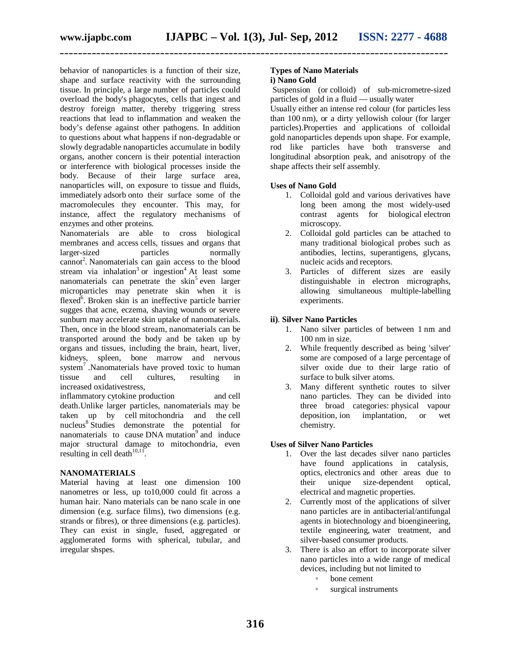behavior of nanoparticles is a function of their size, shape and surface reactivity with the surrounding tissue. In principle, a large number of particles could overload the body's phagocytes, cells that ingest and destroy foreign matter, thereby triggering stress reactions that lead to inflammation and weaken the body's defense against other pathogens. In addition to questions about what happens if non-degradable or slowly degradable nanoparticles accumulate in bodily organs, another concern is their potential interaction or interference with biological processes inside the body. Because of their large surface area, nanoparticles will, on exposure to tissue and fluids, immediately adsorb onto their surface some of the macromolecules they encounter. This may, for instance, affect the regulatory mechanisms of enzymes and other proteins.

Nanomaterials are able to cross biological membranes and access cells, tissues and organs that<br>larger-sized particles normally larger-sized particles normally cannot<sup>2</sup>. Nanomaterials can gain access to the blood stream via inhalation<sup>3</sup> or ingestion<sup>4</sup> At least some nanomaterials can penetrate the skin<sup>5</sup> even larger microparticles may penetrate skin when it is flexed<sup>6</sup>. Broken skin is an ineffective particle barrier sugges that acne, eczema, shaving wounds or severe sunburn may accelerate skin uptake of nanomaterials. Then, once in the blood stream, nanomaterials can be transported around the body and be taken up by organs and tissues, including the brain, heart, liver, kidneys, spleen, bone marrow and nervous system<sup>7</sup>. Nanomaterials have proved toxic to human tissue and cell cultures, resulting in increased oxidativestress,

inflammatory cytokine production and cell death.Unlike larger particles, nanomaterials may be taken up by cell mitochondria and the cell nucleus<sup>8</sup> Studies demonstrate the potential for nanomaterials to cause DNA mutation<sup>9</sup> and induce major structural damage to mitochondria, even resulting in cell death $10,11$ .

## **NANOMATERIALS**

Material having at least one dimension 100 nanometres or less, up to10,000 could fit across a human hair. Nano materials can be nano scale in one dimension (e.g. surface films), two dimensions (e.g. strands or fibres), or three dimensions (e.g. particles). They can exist in single, fused, aggregated or agglomerated forms with spherical, tubular, and irregular shspes.

## **Types of Nano Materials i) Nano Gold**

Suspension (or colloid) of sub-micrometre-sized particles of gold in a fluid — usually water

Usually either an intense red colour (for particles less than 100 nm), or a dirty yellowish colour (for larger particles).Properties and applications of colloidal gold nanoparticles depends upon shape. For example, rod like particles have both transverse and longitudinal absorption peak, and anisotropy of the shape affects their self assembly.

## **Uses of Nano Gold**

- 1. Colloidal gold and various derivatives have long been among the most widely-used contrast agents for biological electron microscopy.
- 2. Colloidal gold particles can be attached to many traditional biological probes such as antibodies, lectins, superantigens, glycans, nucleic acids and receptors.
- 3. Particles of different sizes are easily distinguishable in electron micrographs, allowing simultaneous multiple-labelling experiments.

## **ii)**. **Silver Nano Particles**

- 1. Nano silver particles of between 1 nm and 100 nm in size.
- 2. While frequently described as being 'silver' some are composed of a large percentage of silver oxide due to their large ratio of surface to bulk silver atoms.
- 3. Many different synthetic routes to silver nano particles. They can be divided into three broad categories: physical vapour deposition, ion implantation, or wet chemistry.

## **Uses of Silver Nano Particles**

- 1. Over the last decades silver nano particles have found applications in catalysis, optics, electronics and other areas due to their unique size-dependent optical, electrical and magnetic properties.
- 2. Currently most of the applications of silver nano particles are in antibacterial/antifungal agents in biotechnology and bioengineering, textile engineering, water treatment, and silver-based consumer products.
- 3. There is also an effort to incorporate silver nano particles into a wide range of medical devices, including but not limited to
	- bone cement
	- surgical instruments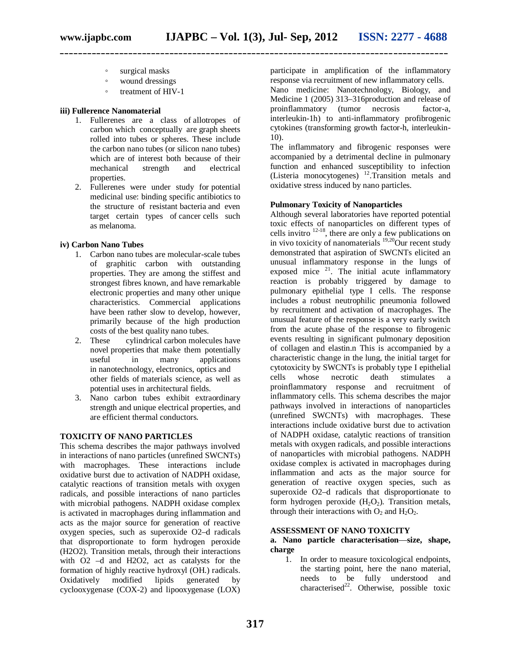- surgical masks
- wound dressings
- treatment of HIV-1

## **iii) Fullerence Nanomaterial**

- 1. Fullerenes are a class of allotropes of carbon which conceptually are graph sheets rolled into tubes or spheres. These include the carbon nano tubes (or silicon nano tubes) which are of interest both because of their mechanical strength and electrical properties.
- 2. Fullerenes were under study for potential medicinal use: binding specific antibiotics to the structure of resistant bacteria and even target certain types of cancer cells such as melanoma.

## **iv) Carbon Nano Tubes**

- 1. Carbon nano tubes are molecular-scale tubes of graphitic carbon with outstanding properties. They are among the stiffest and strongest fibres known, and have remarkable electronic properties and many other unique characteristics. Commercial applications have been rather slow to develop, however, primarily because of the high production costs of the best quality nano tubes.<br>2. These cylindrical carbon moleculars
- cylindrical carbon molecules have novel properties that make them potentially useful in many applications in nanotechnology, electronics, optics and other fields of materials science, as well as potential uses in architectural fields.
- 3. Nano carbon tubes exhibit extraordinary strength and unique electrical properties, and are efficient thermal conductors.

## **TOXICITY OF NANO PARTICLES**

This schema describes the major pathways involved in interactions of nano particles (unrefined SWCNTs) with macrophages. These interactions include oxidative burst due to activation of NADPH oxidase, catalytic reactions of transition metals with oxygen radicals, and possible interactions of nano particles with microbial pathogens. NADPH oxidase complex is activated in macrophages during inflammation and acts as the major source for generation of reactive oxygen species, such as superoxide O2–d radicals that disproportionate to form hydrogen peroxide (H2O2). Transition metals, through their interactions with O2 –d and H2O2, act as catalysts for the formation of highly reactive hydroxyl (OH.) radicals.<br>Oxidatively modified lipids generated by Oxidatively modified lipids generated by cyclooxygenase (COX-2) and lipooxygenase (LOX)

participate in amplification of the inflammatory response via recruitment of new inflammatory cells. Nano medicine: Nanotechnology, Biology, and Medicine 1 (2005) 313–316production and release of proinflammatory (tumor necrosis factor-a, interleukin-1h) to anti-inflammatory profibrogenic cytokines (transforming growth factor-h, interleukin-10).

The inflammatory and fibrogenic responses were accompanied by a detrimental decline in pulmonary function and enhanced susceptibility to infection (Listeria monocytogenes)  $^{12}$ . Transition metals and oxidative stress induced by nano particles.

## **Pulmonary Toxicity of Nanoparticles**

Although several laboratories have reported potential toxic effects of nanoparticles on different types of cells invitro  $12-18$ , there are only a few publications on in vivo toxicity of nanomaterials  $\frac{19,20}{9}$ Our recent study demonstrated that aspiration of SWCNTs elicited an unusual inflammatory response in the lungs of exposed mice  $2^1$ . The initial acute inflammatory reaction is probably triggered by damage to pulmonary epithelial type I cells. The response includes a robust neutrophilic pneumonia followed by recruitment and activation of macrophages. The unusual feature of the response is a very early switch from the acute phase of the response to fibrogenic events resulting in significant pulmonary deposition of collagen and elastin.n This is accompanied by a characteristic change in the lung, the initial target for cytotoxicity by SWCNTs is probably type I epithelial cells whose necrotic death stimulates a proinflammatory response and recruitment of inflammatory cells. This schema describes the major pathways involved in interactions of nanoparticles (unrefined SWCNTs) with macrophages. These interactions include oxidative burst due to activation of NADPH oxidase, catalytic reactions of transition metals with oxygen radicals, and possible interactions of nanoparticles with microbial pathogens. NADPH oxidase complex is activated in macrophages during inflammation and acts as the major source for generation of reactive oxygen species, such as superoxide O2–d radicals that disproportionate to form hydrogen peroxide  $(H_2O_2)$ . Transition metals, through their interactions with  $O_2$  and  $H_2O_2$ .

#### **ASSESSMENT OF NANO TOXICITY**

### **a. Nano particle characterisation**—**size, shape, charge**

1. In order to measure toxicological endpoints, the starting point, here the nano material, needs to be fully understood and characterised<sup>22</sup>. Otherwise, possible toxic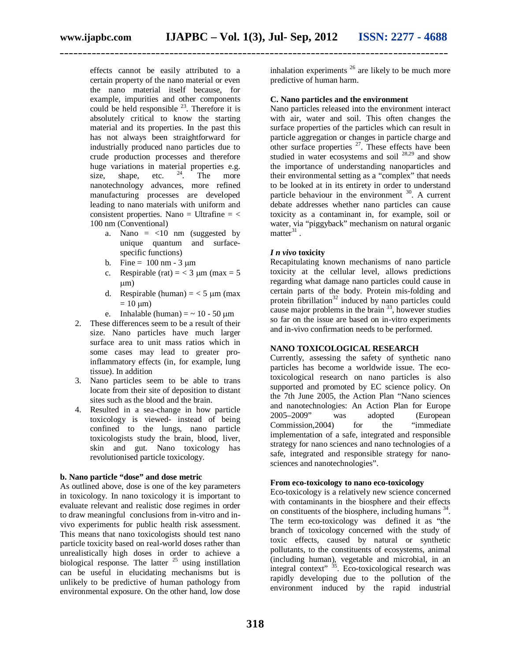effects cannot be easily attributed to a certain property of the nano material or even the nano material itself because, for example, impurities and other components could be held responsible  $^{23}$ . Therefore it is absolutely critical to know the starting material and its properties. In the past this has not always been straightforward for industrially produced nano particles due to crude production processes and therefore huge variations in material properties e.g. size, shape, etc.  $24$ . The more size, shape, etc.  $2^4$ . The more nanotechnology advances, more refined manufacturing processes are developed leading to nano materials with uniform and consistent properties. Nano = Ultrafine  $=$  < 100 nm (Conventional)

- a. Nano  $=$  <10 nm (suggested by unique quantum and surfacespecific functions)
- b. Fine =  $100 \text{ nm} 3 \text{ µm}$
- c. Respirable (rat) =  $<$  3 um (max = 5  $\mu$ m)
- d. Respirable (human) =  $<$  5  $\mu$ m (max)  $= 10 \text{ }\mu\text{m}$
- e. Inhalable (human)  $=$   $\sim$  10 50  $\mu$ m
- 2. These differences seem to be a result of their size. Nano particles have much larger surface area to unit mass ratios which in some cases may lead to greater proinflammatory effects (in, for example, lung tissue). In addition
- 3. Nano particles seem to be able to trans locate from their site of deposition to distant sites such as the blood and the brain.
- 4. Resulted in a sea-change in how particle toxicology is viewed- instead of being confined to the lungs, nano particle toxicologists study the brain, blood, liver, skin and gut. Nano toxicology has revolutionised particle toxicology.

## **b. Nano particle "dose" and dose metric**

As outlined above, dose is one of the key parameters in toxicology. In nano toxicology it is important to evaluate relevant and realistic dose regimes in order to draw meaningful conclusions from in-vitro and invivo experiments for public health risk assessment. This means that nano toxicologists should test nano particle toxicity based on real-world doses rather than unrealistically high doses in order to achieve a biological response. The latter  $25$  using instillation can be useful in elucidating mechanisms but is unlikely to be predictive of human pathology from environmental exposure. On the other hand, low dose inhalation experiments  $^{26}$  are likely to be much more predictive of human harm.

### **C. Nano particles and the environment**

Nano particles released into the environment interact with air, water and soil. This often changes the surface properties of the particles which can result in particle aggregation or changes in particle charge and other surface properties  $27$ . These effects have been studied in water ecosystems and soil  $^{28,29}$  and show the importance of understanding nanoparticles and their environmental setting as a "complex" that needs to be looked at in its entirety in order to understand particle behaviour in the environment  $30$ . A current debate addresses whether nano particles can cause toxicity as a contaminant in, for example, soil or water, via "piggyback" mechanism on natural organic matter $31$ .

## *I n vivo* **toxicity**

Recapitulating known mechanisms of nano particle toxicity at the cellular level, allows predictions regarding what damage nano particles could cause in certain parts of the body. Protein mis-folding and protein fibrillation<sup>32</sup> induced by nano particles could cause major problems in the brain  $33$ , however studies so far on the issue are based on in-vitro experiments and in-vivo confirmation needs to be performed.

## **NANO TOXICOLOGICAL RESEARCH**

Currently, assessing the safety of synthetic nano particles has become a worldwide issue. The ecotoxicological research on nano particles is also supported and promoted by EC science policy. On the 7th June 2005, the Action Plan "Nano sciences and nanotechnologies: An Action Plan for Europe 2005–2009" was adopted (European Commission,2004) for the "immediate implementation of a safe, integrated and responsible strategy for nano sciences and nano technologies of a safe, integrated and responsible strategy for nanosciences and nanotechnologies".

### **From eco-toxicology to nano eco-toxicology**

Eco-toxicology is a relatively new science concerned with contaminants in the biosphere and their effects on constituents of the biosphere, including humans <sup>34</sup>. The term eco-toxicology was defined it as "the branch of toxicology concerned with the study of toxic effects, caused by natural or synthetic pollutants, to the constituents of ecosystems, animal (including human), vegetable and microbial, in an integral context" <sup>35</sup>. Eco-toxicological research was rapidly developing due to the pollution of the environment induced by the rapid industrial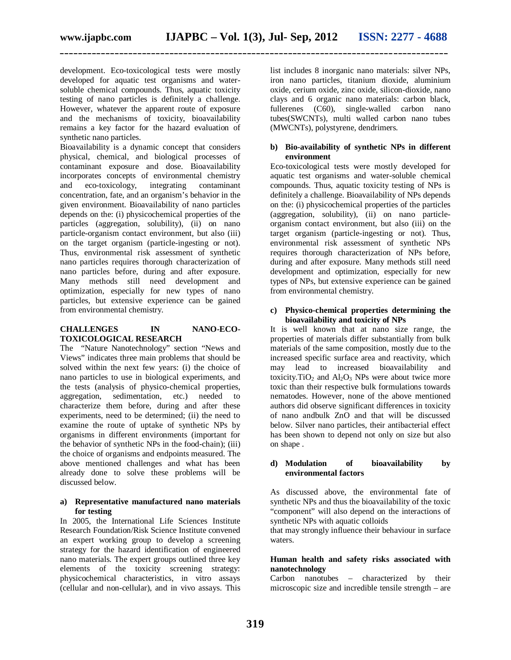development. Eco-toxicological tests were mostly developed for aquatic test organisms and watersoluble chemical compounds. Thus, aquatic toxicity testing of nano particles is definitely a challenge. However, whatever the apparent route of exposure and the mechanisms of toxicity, bioavailability remains a key factor for the hazard evaluation of synthetic nano particles.

Bioavailability is a dynamic concept that considers physical, chemical, and biological processes of contaminant exposure and dose. Bioavailability incorporates concepts of environmental chemistry and eco-toxicology, integrating contaminant concentration, fate, and an organism's behavior in the given environment. Bioavailability of nano particles depends on the: (i) physicochemical properties of the particles (aggregation, solubility), (ii) on nano particle-organism contact environment, but also (iii) on the target organism (particle-ingesting or not). Thus, environmental risk assessment of synthetic nano particles requires thorough characterization of nano particles before, during and after exposure. Many methods still need development and optimization, especially for new types of nano particles, but extensive experience can be gained from environmental chemistry.

## **CHALLENGES IN NANO-ECO-TOXICOLOGICAL RESEARCH**

The "Nature Nanotechnology" section "News and Views" indicates three main problems that should be solved within the next few years: (i) the choice of nano particles to use in biological experiments, and the tests (analysis of physico-chemical properties, aggregation, sedimentation, etc.) needed to characterize them before, during and after these experiments, need to be determined; (ii) the need to examine the route of uptake of synthetic NPs by organisms in different environments (important for the behavior of synthetic NPs in the food-chain); (iii) the choice of organisms and endpoints measured. The above mentioned challenges and what has been already done to solve these problems will be discussed below.

## **a) Representative manufactured nano materials for testing**

In 2005, the International Life Sciences Institute Research Foundation/Risk Science Institute convened an expert working group to develop a screening strategy for the hazard identification of engineered nano materials. The expert groups outlined three key elements of the toxicity screening strategy: physicochemical characteristics, in vitro assays (cellular and non-cellular), and in vivo assays. This

list includes 8 inorganic nano materials: silver NPs, iron nano particles, titanium dioxide, aluminium oxide, cerium oxide, zinc oxide, silicon-dioxide, nano clays and 6 organic nano materials: carbon black, fullerenes (C60), single-walled carbon nano tubes(SWCNTs), multi walled carbon nano tubes (MWCNTs), polystyrene, dendrimers.

### **b) Bio-availability of synthetic NPs in different environment**

Eco-toxicological tests were mostly developed for aquatic test organisms and water-soluble chemical compounds. Thus, aquatic toxicity testing of NPs is definitely a challenge. Bioavailability of NPs depends on the: (i) physicochemical properties of the particles (aggregation, solubility), (ii) on nano particleorganism contact environment, but also (iii) on the target organism (particle-ingesting or not). Thus, environmental risk assessment of synthetic NPs requires thorough characterization of NPs before, during and after exposure. Many methods still need development and optimization, especially for new types of NPs, but extensive experience can be gained from environmental chemistry.

## **c) Physico-chemical properties determining the bioavailability and toxicity of NPs**

It is well known that at nano size range, the properties of materials differ substantially from bulk materials of the same composition, mostly due to the increased specific surface area and reactivity, which may lead to increased bioavailability and toxicity. TiO<sub>2</sub> and  $Al_2O_3$  NPs were about twice more toxic than their respective bulk formulations towards nematodes. However, none of the above mentioned authors did observe significant differences in toxicity of nano andbulk ZnO and that will be discussed below. Silver nano particles, their antibacterial effect has been shown to depend not only on size but also on shape .

### **d) Modulation of bioavailability by environmental factors**

As discussed above, the environmental fate of synthetic NPs and thus the bioavailability of the toxic "component" will also depend on the interactions of synthetic NPs with aquatic colloids

that may strongly influence their behaviour in surface waters.

## **Human health and safety risks associated with nanotechnology**

Carbon nanotubes – characterized by their microscopic size and incredible tensile strength – are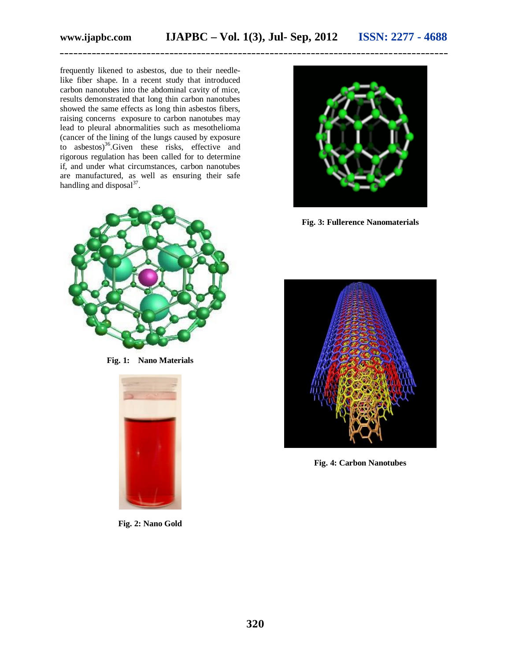frequently likened to asbestos, due to their needlelike fiber shape. In a recent study that introduced carbon nanotubes into the abdominal cavity of mice, results demonstrated that long thin carbon nanotubes showed the same effects as long thin asbestos fibers, raising concerns exposure to carbon nanotubes may lead to pleural abnormalities such as mesothelioma (cancer of the lining of the lungs caused by exposure to asbestos)<sup>36</sup>.Given these risks, effective and rigorous regulation has been called for to determine if, and under what circumstances, carbon nanotubes are manufactured, as well as ensuring their safe handling and disposal<sup>37</sup>.



**Fig. 1: Nano Materials**



**Fig. 2: Nano Gold**



**Fig. 3: Fullerence Nanomaterials**



**Fig. 4: Carbon Nanotubes**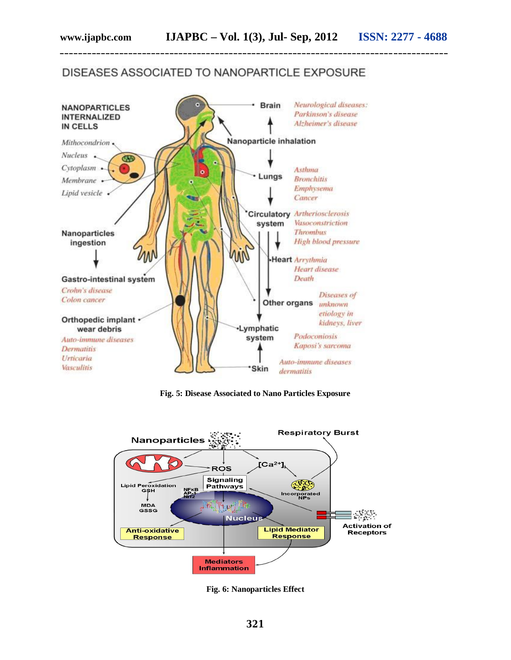## DISEASES ASSOCIATED TO NANOPARTICLE EXPOSURE

**\_\_\_\_\_\_\_\_\_\_\_\_\_\_\_\_\_\_\_\_\_\_\_\_\_\_\_\_\_\_\_\_\_\_\_\_\_\_\_\_\_\_\_\_\_\_\_\_\_\_\_\_\_\_\_\_\_\_\_\_\_\_\_\_\_\_\_\_\_\_\_\_\_\_\_\_\_\_\_\_\_\_\_\_\_**



**Fig. 5: Disease Associated to Nano Particles Exposure**



**Fig. 6: Nanoparticles Effect**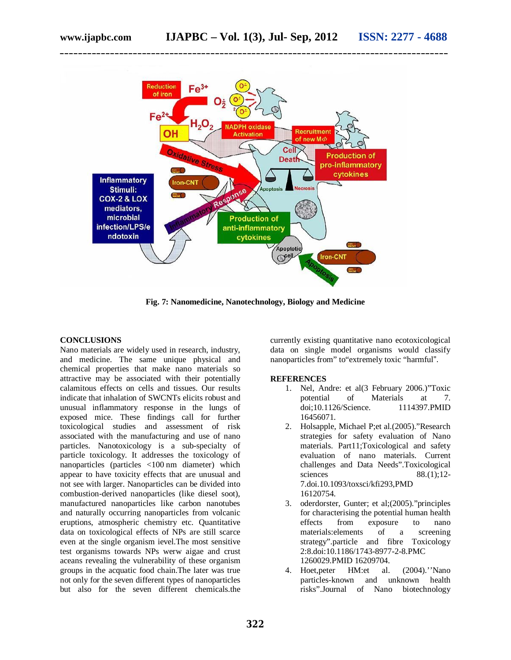

**Fig. 7: Nanomedicine, Nanotechnology, Biology and Medicine**

#### **CONCLUSIONS**

Nano materials are widely used in research, industry, and medicine. The same unique physical and chemical properties that make nano materials so attractive may be associated with their potentially calamitous effects on cells and tissues. Our results indicate that inhalation of SWCNTs elicits robust and unusual inflammatory response in the lungs of exposed mice. These findings call for further toxicological studies and assessment of risk associated with the manufacturing and use of nano particles. Nanotoxicology is a sub-specialty of particle toxicology. It addresses the toxicology of nanoparticles (particles <100 nm diameter) which appear to have toxicity effects that are unusual and not see with larger. Nanoparticles can be divided into combustion-derived nanoparticles (like diesel soot), manufactured nanoparticles like carbon nanotubes and naturally occurring nanoparticles from volcanic eruptions, atmospheric chemistry etc. Quantitative data on toxicological effects of NPs are still scarce even at the single organism ievel.The most sensitive test organisms towards NPs werw aigae and crust aceans revealing the vulnerability of these organism groups in the acquatic food chain.The later was true not only for the seven different types of nanoparticles but also for the seven different chemicals.the

currently existing quantitative nano ecotoxicological data on single model organisms would classify nanoparticles from" to"extremely toxic "harmful".

#### **REFERENCES**

- 1. Nel, Andre: et al(3 February 2006.)"Toxic potential of Materials at 7.<br>doi:10.1126/Science. 1114397.PMID doi:10.1126/Science. 16456071.
- 2. Holsapple, Michael P;et al.(2005)."Research strategies for safety evaluation of Nano materials. Part11;Toxicological and safety evaluation of nano materials. Current challenges and Data Needs".Toxicological sciences  $88.(1);12-$ 7.doi.10.1093/toxsci/kfi293,PMD 16120754.
- 3. oderdorster, Gunter; et al;(2005)."principles for characterising the potential human health<br>effects from exposure to nano exposure to nano materials:elements of a screening strategy".particle and fibre Toxicology 2:8.doi:10.1186/1743-8977-2-8.PMC 1260029.PMID 16209704.
- 4. Hoet,peter HM:et al. (2004).''Nano particles-known and unknown health risks".Journal of Nano biotechnology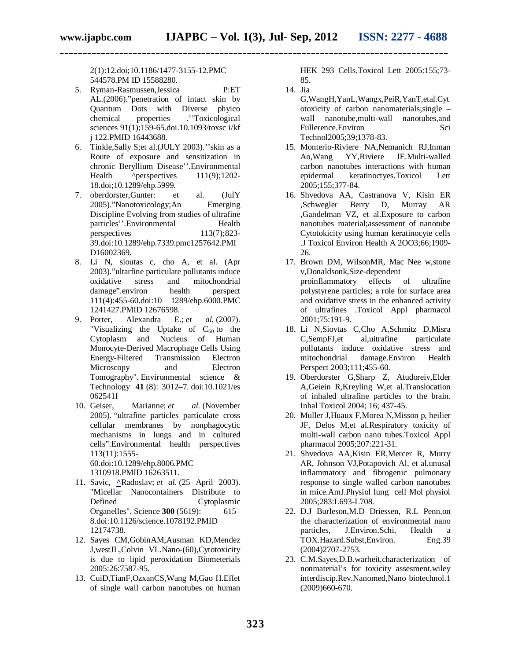2(1):12.doi;10.1186/1477-3155-12.PMC 544578.PM ID 15588280.

- 5. Ryman-Rasmussen,Jessica P:ET AL.(2006)."penetration of intact skin by Quantum Dots with Diverse phyico chemical properties .''Toxicological sciences 91(1);159-65.doi.10.1093/toxsc i/kf j 122.PMID 16443688.
- 6. Tinkle,Sally S;et al.(JULY 2003).''skin as a Route of exposure and sensitization in chronic Beryllium Disease''.Environmental Health  $\wedge$  perspectives 111(9);1202-18.doi;10.1289/ehp.5999.
- 7. oberdorster,Gunter: et al. (JulY 2005)."Nanotoxicology;An Emerging Discipline Evolving from studies of ultrafine particles''.Environmental Health perspectives 113(7);823- 39.doi:10.1289/ehp.7339.pmc1257642.PMI D16002369.
- 8. Li N, sioutas c, cho A, et al. (Apr 2003)."ultarfine particulate pollutants induce oxidative stress and mitochondrial damage".environ health perspect 111(4):455-60.doi:10 1289/ehp.6000.PMC 1241427.PMID 12676598.
- 9. Porter, Alexandra E.; *et al.* (2007). "Visualizing the Uptake of  $C_{60}$  to the Cytoplasm and Nucleus of Human Nucleus of Human Monocyte-Derived Macrophage Cells Using Energy-Filtered Transmission Electron Microscopy and Electron Tomography". Environmental science & Technology **41** (8): 3012–7. doi:10.1021/es 062541f
- 10. Geiser, Marianne; *et al.* (November 2005). "ultrafine particles particulate cross cellular membranes by nonphagocytic mechanisms in lungs and in cultured cells".Environmental health perspectives 113(11):1555- 60.doi:10.1289/ehp.8006.PMC

1310918.PMID 16263511.

- 11. Savic, **^**Radoslav; *et al.* (25 April 2003). "Micellar Nanocontainers Distribute to Defined Cytoplasmic Organelles". Science **300** (5619): 615– 8.doi:10.1126/science.1078192.PMID 12174738.
- 12. Sayes CM,GobinAM,Ausman KD,Mendez J,westJL,Colvin VL.Nano-(60),Cytotoxicity is due to lipid peroxidation Biometerials 2005:26:7587-95.
- 13. CuiD,TianF,OzxanCS,Wang M,Gao H.Effet of single wall carbon nanotubes on human

HEK 293 Cells.Toxicol Lett 2005:155;73- 85.

14. Jia

**\_\_\_\_\_\_\_\_\_\_\_\_\_\_\_\_\_\_\_\_\_\_\_\_\_\_\_\_\_\_\_\_\_\_\_\_\_\_\_\_\_\_\_\_\_\_\_\_\_\_\_\_\_\_\_\_\_\_\_\_\_\_\_\_\_\_\_\_\_\_\_\_\_\_\_\_\_\_\_\_\_\_\_\_\_**

- G,WangH,YanL,Wangx,PeiR,YanT,etal.Cyt otoxicity of carbon nanomaterials;single – wall nanotube,multi-wall nanotubes,and Fullerence.Environ Sci Technol2005;39;1378-83.
- 15. Monterio-Riviere NA,Nemanich RJ,Inman Ao,Wang YY,Riviere JE.Multi-walled carbon nanotubes interactions with human epidermal keratinoctyes.Toxicol Lett 2005;155;377-84.
- 16. Shvedova AA, Castranova V, Kisin ER ,Schwegler Berry D, Murray AR ,Gandelman VZ, et al.Exposure to carbon nanotubes material;assessment of nanotube Cytotokicity using human keratinocyte cells .J Toxicol Environ Health A 2OO3;66;1909- 26.
- 17. Brown DM, WilsonMR, Mac Nee w,stone v,Donaldsonk,Size-dependent proinflammatory effects of ultrafine polystyrene particles; a role for surface area and oxidative stress in the enhanced activity of ultrafines .Toxicol Appl pharmacol 2001;75:191-9.
- 18. Li N,Siovtas C,Cho A,Schmitz D,Misra C,SempFJ,et al,uitrafine particulate pollutants induce oxidative stress and mitochondrial damage.Environ Health Perspect 2003;111;455-60.
- 19. Oberdorster G,Sharp Z, Atudoreiv,Elder A,Geiein R,Kreyling W,et al.Translocation of inhaled ultrafine particles to the brain. Inhal Toxicol 2004; 16; 437-45.
- 20. Muller J,Huaux F,Morea N,Misson p, heilier JF, Delos M,et al.Respiratory toxicity of multi-wall carbon nano tubes.Toxicol Appl pharmacol 2005;207:221-31.
- 21. Shvedova AA,Kisin ER,Mercer R, Murry AR, Johnson VJ,Potapovich Al, et al.unusal inflammatory and fibrogenic pulmonary response to single walled carbon nanotubes in mice.AmJ.Physiol lung cell Mol physiol 2005;283:L693-L708.
- 22. D.J Burleson,M.D Driessen, R.L Penn,on the characterization of environmental nano particles, J.Environ.Schi, Health a TOX.Hazard.Subst,Environ. Eng.39 (2004)2707-2753.
- 23. C.M.Sayes,D.B.warheit,characterization of nonmaterial's for toxicity assesment,wiley interdiscip.Rev.Nanomed,Nano biotechnol.1 (2009)660-670.